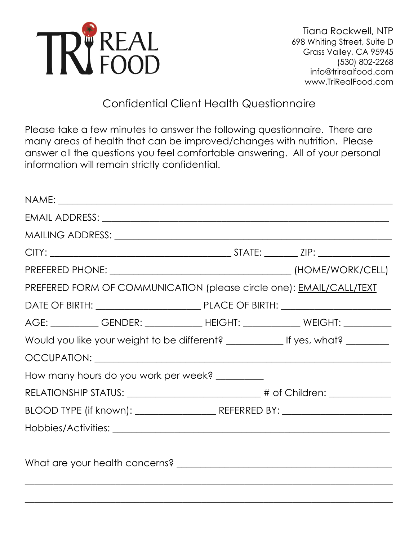

# Confidential Client Health Questionnaire

Please take a few minutes to answer the following questionnaire. There are many areas of health that can be improved/changes with nutrition. Please answer all the questions you feel comfortable answering. All of your personal information will remain strictly confidential.

| MAILING ADDRESS: University of the ADDRESS: And ADDRESS: A CONSERVERTIES OF THE ADDRESS OF THE ADDRESS OF THE ADDRESS OF THE ADDRESS OF THE ADDRESS OF THE ADDRESS OF THE ADDRESS OF THE ADDRESS OF THE ADDRESS OF THE ADDRESS |  |
|--------------------------------------------------------------------------------------------------------------------------------------------------------------------------------------------------------------------------------|--|
|                                                                                                                                                                                                                                |  |
|                                                                                                                                                                                                                                |  |
| PREFERED FORM OF COMMUNICATION (please circle one): EMAIL/CALL/TEXT                                                                                                                                                            |  |
|                                                                                                                                                                                                                                |  |
| AGE: ____________GENDER: ______________HEIGHT: ______________WEIGHT: ___________                                                                                                                                               |  |
|                                                                                                                                                                                                                                |  |
|                                                                                                                                                                                                                                |  |
| How many hours do you work per week? _________                                                                                                                                                                                 |  |
|                                                                                                                                                                                                                                |  |
|                                                                                                                                                                                                                                |  |
|                                                                                                                                                                                                                                |  |
|                                                                                                                                                                                                                                |  |
|                                                                                                                                                                                                                                |  |
|                                                                                                                                                                                                                                |  |

\_\_\_\_\_\_\_\_\_\_\_\_\_\_\_\_\_\_\_\_\_\_\_\_\_\_\_\_\_\_\_\_\_\_\_\_\_\_\_\_\_\_\_\_\_\_\_\_\_\_\_\_\_\_\_\_\_\_\_\_\_\_\_\_\_\_\_\_\_\_\_\_\_\_\_\_\_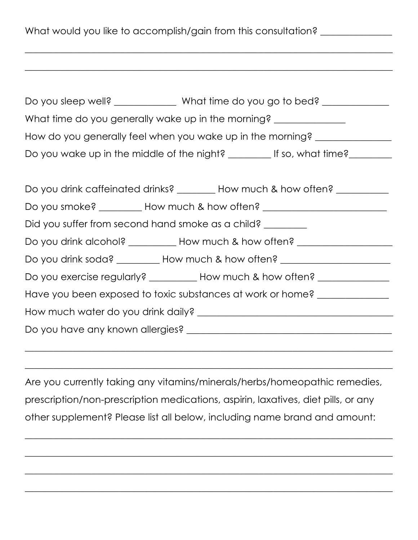What would you like to accomplish/gain from this consultation? \_\_\_\_\_\_\_\_\_\_\_\_\_\_\_\_\_

| What time do you go to bed?<br>Do you sleep well?               |  |  |  |  |
|-----------------------------------------------------------------|--|--|--|--|
| What time do you generally wake up in the morning?              |  |  |  |  |
| How do you generally feel when you wake up in the morning?      |  |  |  |  |
| Do you wake up in the middle of the night?<br>If so, what time? |  |  |  |  |
|                                                                 |  |  |  |  |

\_\_\_\_\_\_\_\_\_\_\_\_\_\_\_\_\_\_\_\_\_\_\_\_\_\_\_\_\_\_\_\_\_\_\_\_\_\_\_\_\_\_\_\_\_\_\_\_\_\_\_\_\_\_\_\_\_\_\_\_\_\_\_\_\_\_\_\_\_\_\_\_\_\_\_\_\_

\_\_\_\_\_\_\_\_\_\_\_\_\_\_\_\_\_\_\_\_\_\_\_\_\_\_\_\_\_\_\_\_\_\_\_\_\_\_\_\_\_\_\_\_\_\_\_\_\_\_\_\_\_\_\_\_\_\_\_\_\_\_\_\_\_\_\_\_\_\_\_\_\_\_\_\_\_

| Do you drink caffeinated drinks? ________ How much & how often? __________       |  |  |  |
|----------------------------------------------------------------------------------|--|--|--|
| Do you smoke? __________ How much & how often? _________________________________ |  |  |  |
| Did you suffer from second hand smoke as a child?                                |  |  |  |
| Do you drink alcohol? __________ How much & how often? _________________________ |  |  |  |
| Do you drink soda? _________ How much & how often? _____________________________ |  |  |  |
| Do you exercise regularly? __________ How much & how often? ____________________ |  |  |  |
| Have you been exposed to toxic substances at work or home?                       |  |  |  |
|                                                                                  |  |  |  |
|                                                                                  |  |  |  |
|                                                                                  |  |  |  |

Are you currently taking any vitamins/minerals/herbs/homeopathic remedies, prescription/non-prescription medications, aspirin, laxatives, diet pills, or any other supplement? Please list all below, including name brand and amount:

\_\_\_\_\_\_\_\_\_\_\_\_\_\_\_\_\_\_\_\_\_\_\_\_\_\_\_\_\_\_\_\_\_\_\_\_\_\_\_\_\_\_\_\_\_\_\_\_\_\_\_\_\_\_\_\_\_\_\_\_\_\_\_\_\_\_\_\_\_\_\_\_\_\_\_\_\_

\_\_\_\_\_\_\_\_\_\_\_\_\_\_\_\_\_\_\_\_\_\_\_\_\_\_\_\_\_\_\_\_\_\_\_\_\_\_\_\_\_\_\_\_\_\_\_\_\_\_\_\_\_\_\_\_\_\_\_\_\_\_\_\_\_\_\_\_\_\_\_\_\_\_\_\_\_

\_\_\_\_\_\_\_\_\_\_\_\_\_\_\_\_\_\_\_\_\_\_\_\_\_\_\_\_\_\_\_\_\_\_\_\_\_\_\_\_\_\_\_\_\_\_\_\_\_\_\_\_\_\_\_\_\_\_\_\_\_\_\_\_\_\_\_\_\_\_\_\_\_\_\_\_\_

\_\_\_\_\_\_\_\_\_\_\_\_\_\_\_\_\_\_\_\_\_\_\_\_\_\_\_\_\_\_\_\_\_\_\_\_\_\_\_\_\_\_\_\_\_\_\_\_\_\_\_\_\_\_\_\_\_\_\_\_\_\_\_\_\_\_\_\_\_\_\_\_\_\_\_\_\_

\_\_\_\_\_\_\_\_\_\_\_\_\_\_\_\_\_\_\_\_\_\_\_\_\_\_\_\_\_\_\_\_\_\_\_\_\_\_\_\_\_\_\_\_\_\_\_\_\_\_\_\_\_\_\_\_\_\_\_\_\_\_\_\_\_\_\_\_\_\_\_\_\_\_\_\_\_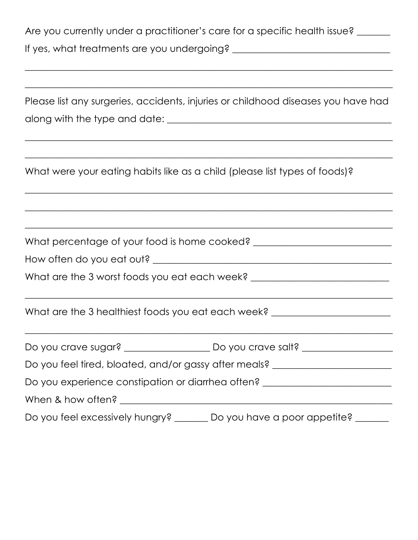Are you currently under a practitioner's care for a specific health issue? \_\_\_\_\_\_ If yes, what treatments are you undergoing? \_\_\_\_\_\_\_\_\_\_\_\_\_\_\_\_\_\_\_\_\_\_\_\_\_\_\_\_\_\_\_\_\_

| Please list any surgeries, accidents, injuries or childhood diseases you have had                                                                               |  |  |  |  |  |
|-----------------------------------------------------------------------------------------------------------------------------------------------------------------|--|--|--|--|--|
|                                                                                                                                                                 |  |  |  |  |  |
|                                                                                                                                                                 |  |  |  |  |  |
|                                                                                                                                                                 |  |  |  |  |  |
| What were your eating habits like as a child (please list types of foods)?<br>,我们也不能在这里的时候,我们也不能在这里的时候,我们也不能会在这里的时候,我们也不能会在这里的时候,我们也不能会在这里的时候,我们也不能会在这里的时候,我们也不 |  |  |  |  |  |
| <u> 1989 - Johann Stoff, amerikansk politiker (d. 1989)</u>                                                                                                     |  |  |  |  |  |
|                                                                                                                                                                 |  |  |  |  |  |
| What percentage of your food is home cooked? ___________________________________                                                                                |  |  |  |  |  |
|                                                                                                                                                                 |  |  |  |  |  |
| What are the 3 worst foods you eat each week? __________________________________                                                                                |  |  |  |  |  |
|                                                                                                                                                                 |  |  |  |  |  |
| What are the 3 healthiest foods you eat each week? _____________________________                                                                                |  |  |  |  |  |
|                                                                                                                                                                 |  |  |  |  |  |
|                                                                                                                                                                 |  |  |  |  |  |
| Do you feel tired, bloated, and/or gassy after meals? __________________________                                                                                |  |  |  |  |  |
| Do you experience constipation or diarrhea often? ______________________________                                                                                |  |  |  |  |  |
|                                                                                                                                                                 |  |  |  |  |  |
| Do you feel excessively hungry? _______ Do you have a poor appetite? _______                                                                                    |  |  |  |  |  |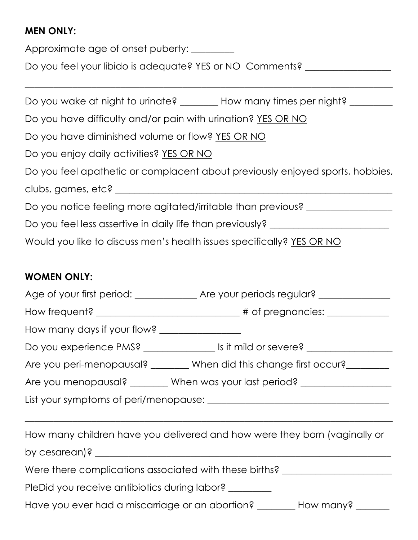### **MEN ONLY:**

Approximate age of onset puberty: \_\_\_\_\_\_\_\_

Do you feel your libido is adequate? YES or NO Comments? \_\_\_\_\_\_\_\_\_\_\_\_\_\_\_\_\_\_\_\_\_\_\_

| Do you wake at night to urinate? How many times per night?                    |
|-------------------------------------------------------------------------------|
| Do you have difficulty and/or pain with urination? YES OR NO                  |
| Do you have diminished volume or flow? YES OR NO                              |
| Do you enjoy daily activities? YES OR NO                                      |
| Do you feel apathetic or complacent about previously enjoyed sports, hobbies, |
| clubs, games, etc? _______                                                    |
| Do you notice feeling more agitated/irritable than previous?                  |
| Do you feel less assertive in daily life than previously?                     |
| Would you like to discuss men's health issues specifically? YES OR NO         |

\_\_\_\_\_\_\_\_\_\_\_\_\_\_\_\_\_\_\_\_\_\_\_\_\_\_\_\_\_\_\_\_\_\_\_\_\_\_\_\_\_\_\_\_\_\_\_\_\_\_\_\_\_\_\_\_\_\_\_\_\_\_\_\_\_\_\_\_\_\_\_\_\_\_\_\_\_

## **WOMEN ONLY:**

| How many days if your flow? __________________                                   |                                                                                         |  |  |  |
|----------------------------------------------------------------------------------|-----------------------------------------------------------------------------------------|--|--|--|
|                                                                                  | Do you experience PMS? _______________________ Is it mild or severe? __________________ |  |  |  |
|                                                                                  | Are you peri-menopausal? _______ When did this change first occur? ________             |  |  |  |
| Are you menopausal? ________ When was your last period? ________________________ |                                                                                         |  |  |  |
|                                                                                  |                                                                                         |  |  |  |
|                                                                                  |                                                                                         |  |  |  |
| How many children have you delivered and how were they born (vaginally or        |                                                                                         |  |  |  |
|                                                                                  |                                                                                         |  |  |  |
| Were there complications associated with these births? _________________________ |                                                                                         |  |  |  |
| PleDid you receive antibiotics during labor? ________                            |                                                                                         |  |  |  |
| Have you ever had a miscarriage or an abortion? ________ How many? ______        |                                                                                         |  |  |  |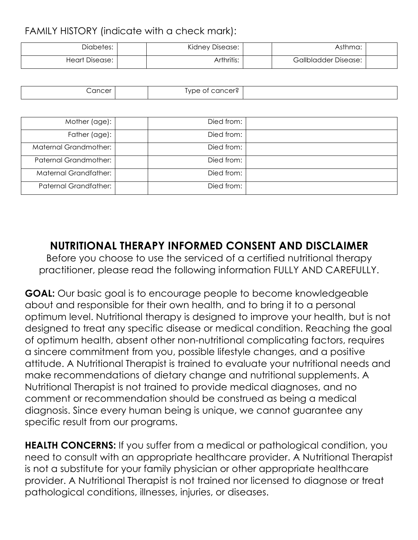### FAMILY HISTORY (indicate with a check mark):

| Diabetes:             | Kidney Disease: | Asthma:                     |  |
|-----------------------|-----------------|-----------------------------|--|
| <b>Heart Disease:</b> | Arthritis:      | <b>Gallbladder Disease:</b> |  |

| .ancer | $\overline{\phantom{0}}$<br>'∪ne<br>ırır.<br>- |  |
|--------|------------------------------------------------|--|

| Mother (age): I              | Died from: |  |
|------------------------------|------------|--|
| Father (age):                | Died from: |  |
| <b>Maternal Grandmother:</b> | Died from: |  |
| <b>Paternal Grandmother:</b> | Died from: |  |
| <b>Maternal Grandfather:</b> | Died from: |  |
| <b>Paternal Grandfather:</b> | Died from: |  |

# **NUTRITIONAL THERAPY INFORMED CONSENT AND DISCLAIMER**

Before you choose to use the serviced of a certified nutritional therapy practitioner, please read the following information FULLY AND CAREFULLY.

**GOAL:** Our basic goal is to encourage people to become knowledgeable about and responsible for their own health, and to bring it to a personal optimum level. Nutritional therapy is designed to improve your health, but is not designed to treat any specific disease or medical condition. Reaching the goal of optimum health, absent other non-nutritional complicating factors, requires a sincere commitment from you, possible lifestyle changes, and a positive attitude. A Nutritional Therapist is trained to evaluate your nutritional needs and make recommendations of dietary change and nutritional supplements. A Nutritional Therapist is not trained to provide medical diagnoses, and no comment or recommendation should be construed as being a medical diagnosis. Since every human being is unique, we cannot guarantee any specific result from our programs.

**HEALTH CONCERNS:** If you suffer from a medical or pathological condition, you need to consult with an appropriate healthcare provider. A Nutritional Therapist is not a substitute for your family physician or other appropriate healthcare provider. A Nutritional Therapist is not trained nor licensed to diagnose or treat pathological conditions, illnesses, injuries, or diseases.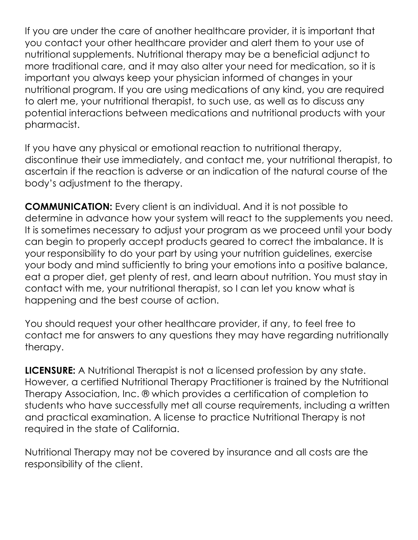If you are under the care of another healthcare provider, it is important that you contact your other healthcare provider and alert them to your use of nutritional supplements. Nutritional therapy may be a beneficial adjunct to more traditional care, and it may also alter your need for medication, so it is important you always keep your physician informed of changes in your nutritional program. If you are using medications of any kind, you are required to alert me, your nutritional therapist, to such use, as well as to discuss any potential interactions between medications and nutritional products with your pharmacist.

If you have any physical or emotional reaction to nutritional therapy, discontinue their use immediately, and contact me, your nutritional therapist, to ascertain if the reaction is adverse or an indication of the natural course of the body's adjustment to the therapy.

**COMMUNICATION:** Every client is an individual. And it is not possible to determine in advance how your system will react to the supplements you need. It is sometimes necessary to adjust your program as we proceed until your body can begin to properly accept products geared to correct the imbalance. It is your responsibility to do your part by using your nutrition guidelines, exercise your body and mind sufficiently to bring your emotions into a positive balance, eat a proper diet, get plenty of rest, and learn about nutrition. You must stay in contact with me, your nutritional therapist, so I can let you know what is happening and the best course of action.

You should request your other healthcare provider, if any, to feel free to contact me for answers to any questions they may have regarding nutritionally therapy.

**LICENSURE:** A Nutritional Therapist is not a licensed profession by any state. However, a certified Nutritional Therapy Practitioner is trained by the Nutritional Therapy Association, Inc. ® which provides a certification of completion to students who have successfully met all course requirements, including a written and practical examination. A license to practice Nutritional Therapy is not required in the state of California.

Nutritional Therapy may not be covered by insurance and all costs are the responsibility of the client.